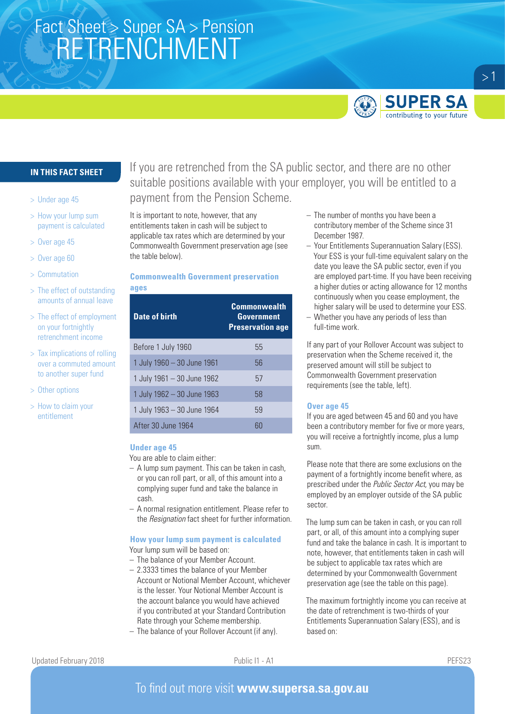# Fact Sheet > Super SA > Pension<br>CONTINUALINATION RETRENCHMENT



## **SUPER SA** contributing to your future

 $>1$ 

## **IN THIS FACT SHEET**

- > Under age 45
- > How your lump sum payment is calculated
- > Over age 45
- > Over age 60
- > Commutation
- > The effect of outstanding amounts of annual leave
- > The effect of employment on your fortnightly retrenchment income
- > Tax implications of rolling over a commuted amount to another super fund
- > Other options
- > How to claim your entitlement

If you are retrenched from the SA public sector, and there are no other suitable positions available with your employer, you will be entitled to a payment from the Pension Scheme.

It is important to note, however, that any entitlements taken in cash will be subject to applicable tax rates which are determined by your Commonwealth Government preservation age (see the table below).

# **Commonwealth Government preservation**

# **ages**

| <b>Date of birth</b>       | <b>Commonwealth</b><br><b>Government</b><br><b>Preservation age</b> |
|----------------------------|---------------------------------------------------------------------|
| Before 1 July 1960         | 55                                                                  |
| 1 July 1960 - 30 June 1961 | 56                                                                  |
| 1 July 1961 - 30 June 1962 | 57                                                                  |
| 1 July 1962 - 30 June 1963 | 58                                                                  |
| 1 July 1963 - 30 June 1964 | 59                                                                  |
| After 30 June 1964         | 60                                                                  |

#### **Under age 45**

You are able to claim either:

- A lump sum payment. This can be taken in cash, or you can roll part, or all, of this amount into a complying super fund and take the balance in cash.
- A normal resignation entitlement. Please refer to the *Resignation* fact sheet for further information.

#### **How your lump sum payment is calculated** Your lump sum will be based on:

- The balance of your Member Account.
- 2.3333 times the balance of your Member Account or Notional Member Account, whichever is the lesser. Your Notional Member Account is the account balance you would have achieved if you contributed at your Standard Contribution Rate through your Scheme membership.
- The balance of your Rollover Account (if any).
- The number of months you have been a contributory member of the Scheme since 31 December 1987.
- Your Entitlements Superannuation Salary (ESS). Your ESS is your full-time equivalent salary on the date you leave the SA public sector, even if you are employed part-time. If you have been receiving a higher duties or acting allowance for 12 months continuously when you cease employment, the higher salary will be used to determine your ESS.
- Whether you have any periods of less than full-time work.

If any part of your Rollover Account was subject to preservation when the Scheme received it, the preserved amount will still be subject to Commonwealth Government preservation requirements (see the table, left).

#### **Over age 45**

If you are aged between 45 and 60 and you have been a contributory member for five or more years, you will receive a fortnightly income, plus a lump sum.

Please note that there are some exclusions on the payment of a fortnightly income benefit where, as prescribed under the *Public Sector Act,* you may be employed by an employer outside of the SA public sector.

The lump sum can be taken in cash, or you can roll part, or all, of this amount into a complying super fund and take the balance in cash. It is important to note, however, that entitlements taken in cash will be subject to applicable tax rates which are determined by your Commonwealth Government preservation age (see the table on this page).

The maximum fortnightly income you can receive at the date of retrenchment is two-thirds of your Entitlements Superannuation Salary (ESS), and is based on:

## To find out more visit **www.supersa.sa.gov.au**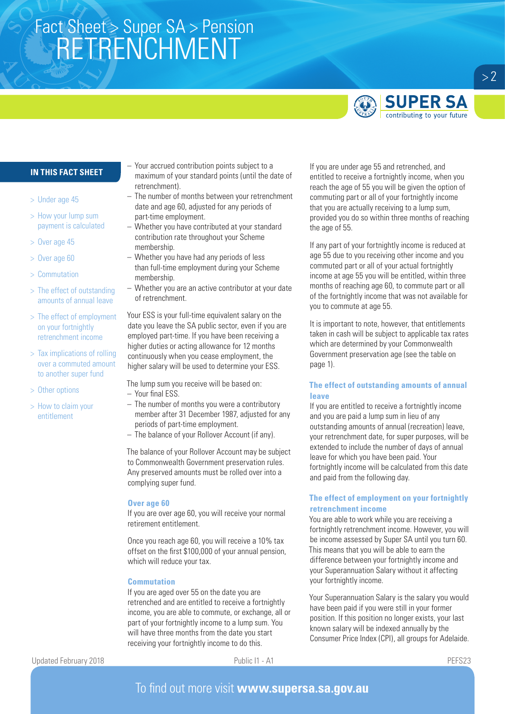# Fact Sheet > Super SA > Pension<br>CONTINUALINATION RETRENCHMENT



## **IN THIS FACT SHEET**

- > Under age 45
- > How your lump sum payment is calculated
- > Over age 45
- > Over age 60
- > Commutation
- > The effect of outstanding amounts of annual leave
- > The effect of employment on your fortnightly retrenchment income
- > Tax implications of rolling over a commuted amount to another super fund
- > Other options
- > How to claim your entitlement
- Your accrued contribution points subject to a maximum of your standard points (until the date of retrenchment).
- The number of months between your retrenchment date and age 60, adjusted for any periods of part-time employment.
- Whether you have contributed at your standard contribution rate throughout your Scheme membership.
- Whether you have had any periods of less than full-time employment during your Scheme membership.
- Whether you are an active contributor at your date of retrenchment.

Your ESS is your full-time equivalent salary on the date you leave the SA public sector, even if you are employed part-time. If you have been receiving a higher duties or acting allowance for 12 months continuously when you cease employment, the higher salary will be used to determine your ESS.

The lump sum you receive will be based on: – Your final ESS.

- The number of months you were a contributory member after 31 December 1987, adjusted for any periods of part-time employment.
- The balance of your Rollover Account (if any).

The balance of your Rollover Account may be subject to Commonwealth Government preservation rules. Any preserved amounts must be rolled over into a complying super fund.

#### **Over age 60**

If you are over age 60, you will receive your normal retirement entitlement.

Once you reach age 60, you will receive a 10% tax offset on the first \$100,000 of your annual pension, which will reduce your tax.

#### **Commutation**

If you are aged over 55 on the date you are retrenched and are entitled to receive a fortnightly income, you are able to commute, or exchange, all or part of your fortnightly income to a lump sum. You will have three months from the date you start receiving your fortnightly income to do this.

If you are under age 55 and retrenched, and entitled to receive a fortnightly income, when you reach the age of 55 you will be given the option of commuting part or all of your fortnightly income that you are actually receiving to a lump sum, provided you do so within three months of reaching the age of 55.

If any part of your fortnightly income is reduced at age 55 due to you receiving other income and you commuted part or all of your actual fortnightly income at age 55 you will be entitled, within three months of reaching age 60, to commute part or all of the fortnightly income that was not available for you to commute at age 55.

It is important to note, however, that entitlements taken in cash will be subject to applicable tax rates which are determined by your Commonwealth Government preservation age (see the table on page 1).

## **The effect of outstanding amounts of annual leave**

If you are entitled to receive a fortnightly income and you are paid a lump sum in lieu of any outstanding amounts of annual (recreation) leave, your retrenchment date, for super purposes, will be extended to include the number of days of annual leave for which you have been paid. Your fortnightly income will be calculated from this date and paid from the following day.

### **The effect of employment on your fortnightly retrenchment income**

You are able to work while you are receiving a fortnightly retrenchment income. However, you will be income assessed by Super SA until you turn 60. This means that you will be able to earn the difference between your fortnightly income and your Superannuation Salary without it affecting your fortnightly income.

Your Superannuation Salary is the salary you would have been paid if you were still in your former position. If this position no longer exists, your last known salary will be indexed annually by the Consumer Price Index (CPI), all groups for Adelaide.